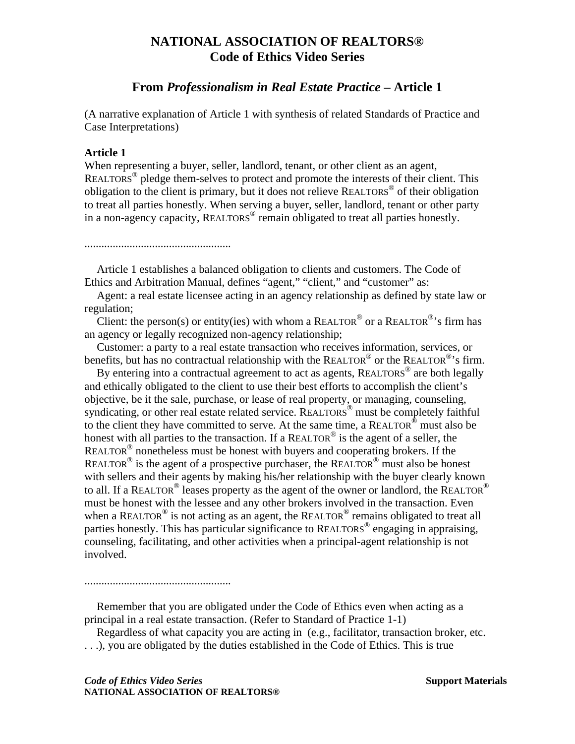## **NATIONAL ASSOCIATION OF REALTORS® Code of Ethics Video Series**

## **From** *Professionalism in Real Estate Practice* **– Article 1**

(A narrative explanation of Article 1 with synthesis of related Standards of Practice and Case Interpretations)

## **Article 1**

When representing a buyer, seller, landlord, tenant, or other client as an agent, REALTORS<sup>®</sup> pledge them-selves to protect and promote the interests of their client. This obligation to the client is primary, but it does not relieve  $REALTORS^{\circledcirc}$  of their obligation to treat all parties honestly. When serving a buyer, seller, landlord, tenant or other party in a non-agency capacity, REALTORS<sup>®</sup> remain obligated to treat all parties honestly.

....................................................

 Article 1 establishes a balanced obligation to clients and customers. The Code of Ethics and Arbitration Manual, defines "agent," "client," and "customer" as:

 Agent: a real estate licensee acting in an agency relationship as defined by state law or regulation;

Client: the person(s) or entity(ies) with whom a REALTOR<sup>®</sup> or a REALTOR<sup>®</sup>'s firm has an agency or legally recognized non-agency relationship;

 Customer: a party to a real estate transaction who receives information, services, or benefits, but has no contractual relationship with the REALTOR<sup>®</sup> or the REALTOR<sup>®</sup>'s firm.

By entering into a contractual agreement to act as agents,  $REALTORS^{\circledcirc}$  are both legally and ethically obligated to the client to use their best efforts to accomplish the client's objective, be it the sale, purchase, or lease of real property, or managing, counseling, syndicating, or other real estate related service. REALTORS<sup>®</sup> must be completely faithful to the client they have committed to serve. At the same time, a REALTOR® must also be honest with all parties to the transaction. If a REALTOR<sup>®</sup> is the agent of a seller, the REALTOR<sup>®</sup> nonetheless must be honest with buyers and cooperating brokers. If the REALTOR<sup>®</sup> is the agent of a prospective purchaser, the REALTOR<sup>®</sup> must also be honest with sellers and their agents by making his/her relationship with the buyer clearly known to all. If a REALTOR<sup>®</sup> leases property as the agent of the owner or landlord, the REALTOR<sup>®</sup> must be honest with the lessee and any other brokers involved in the transaction. Even when a REALTOR<sup>®</sup> is not acting as an agent, the REALTOR<sup>®</sup> remains obligated to treat all parties honestly. This has particular significance to REALTORS<sup>®</sup> engaging in appraising, counseling, facilitating, and other activities when a principal-agent relationship is not involved.

 Remember that you are obligated under the Code of Ethics even when acting as a principal in a real estate transaction. (Refer to Standard of Practice 1-1)

Regardless of what capacity you are acting in (e.g., facilitator, transaction broker, etc.

. . .), you are obligated by the duties established in the Code of Ethics. This is true

**Code of Ethics Video Series Support Materials Support Materials Support Materials NATIONAL ASSOCIATION OF REALTORS®** 

....................................................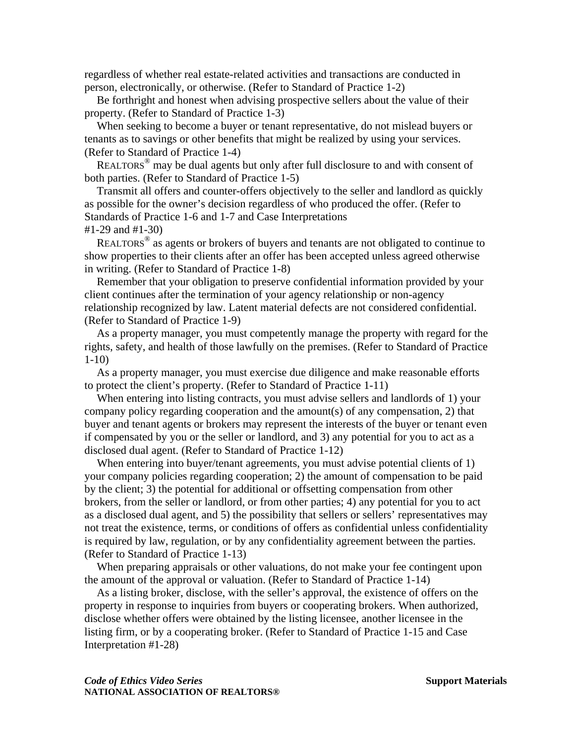regardless of whether real estate-related activities and transactions are conducted in person, electronically, or otherwise. (Refer to Standard of Practice 1-2)

 Be forthright and honest when advising prospective sellers about the value of their property. (Refer to Standard of Practice 1-3)

 When seeking to become a buyer or tenant representative, do not mislead buyers or tenants as to savings or other benefits that might be realized by using your services. (Refer to Standard of Practice 1-4)

REALTORS<sup>®</sup> may be dual agents but only after full disclosure to and with consent of both parties. (Refer to Standard of Practice 1-5)

 Transmit all offers and counter-offers objectively to the seller and landlord as quickly as possible for the owner's decision regardless of who produced the offer. (Refer to Standards of Practice 1-6 and 1-7 and Case Interpretations #1-29 and #1-30)

 REALTORS® as agents or brokers of buyers and tenants are not obligated to continue to show properties to their clients after an offer has been accepted unless agreed otherwise in writing. (Refer to Standard of Practice 1-8)

 Remember that your obligation to preserve confidential information provided by your client continues after the termination of your agency relationship or non-agency relationship recognized by law. Latent material defects are not considered confidential. (Refer to Standard of Practice 1-9)

 As a property manager, you must competently manage the property with regard for the rights, safety, and health of those lawfully on the premises. (Refer to Standard of Practice 1-10)

 As a property manager, you must exercise due diligence and make reasonable efforts to protect the client's property. (Refer to Standard of Practice 1-11)

 When entering into listing contracts, you must advise sellers and landlords of 1) your company policy regarding cooperation and the amount(s) of any compensation, 2) that buyer and tenant agents or brokers may represent the interests of the buyer or tenant even if compensated by you or the seller or landlord, and 3) any potential for you to act as a disclosed dual agent. (Refer to Standard of Practice 1-12)

When entering into buyer/tenant agreements, you must advise potential clients of 1) your company policies regarding cooperation; 2) the amount of compensation to be paid by the client; 3) the potential for additional or offsetting compensation from other brokers, from the seller or landlord, or from other parties; 4) any potential for you to act as a disclosed dual agent, and 5) the possibility that sellers or sellers' representatives may not treat the existence, terms, or conditions of offers as confidential unless confidentiality is required by law, regulation, or by any confidentiality agreement between the parties. (Refer to Standard of Practice 1-13)

 When preparing appraisals or other valuations, do not make your fee contingent upon the amount of the approval or valuation. (Refer to Standard of Practice 1-14)

 As a listing broker, disclose, with the seller's approval, the existence of offers on the property in response to inquiries from buyers or cooperating brokers. When authorized, disclose whether offers were obtained by the listing licensee, another licensee in the listing firm, or by a cooperating broker. (Refer to Standard of Practice 1-15 and Case Interpretation #1-28)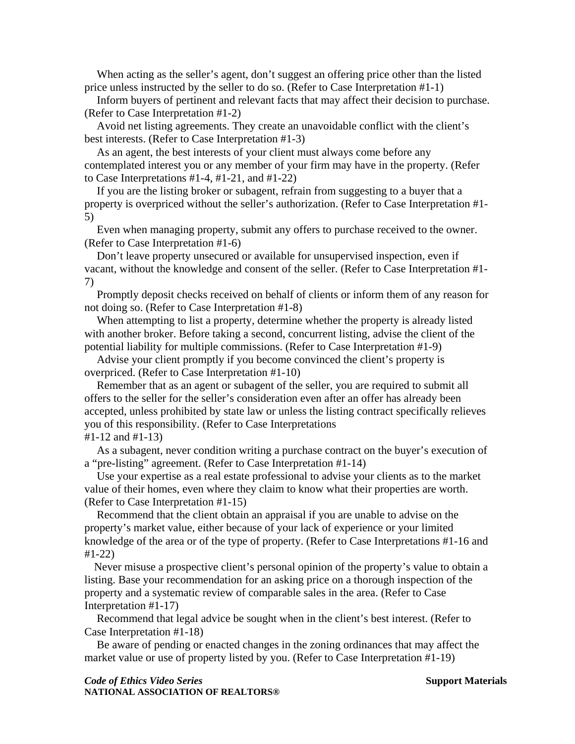When acting as the seller's agent, don't suggest an offering price other than the listed price unless instructed by the seller to do so. (Refer to Case Interpretation #1-1)

 Inform buyers of pertinent and relevant facts that may affect their decision to purchase. (Refer to Case Interpretation #1-2)

 Avoid net listing agreements. They create an unavoidable conflict with the client's best interests. (Refer to Case Interpretation #1-3)

 As an agent, the best interests of your client must always come before any contemplated interest you or any member of your firm may have in the property. (Refer to Case Interpretations #1-4, #1-21, and #1-22)

 If you are the listing broker or subagent, refrain from suggesting to a buyer that a property is overpriced without the seller's authorization. (Refer to Case Interpretation #1- 5)

 Even when managing property, submit any offers to purchase received to the owner. (Refer to Case Interpretation #1-6)

 Don't leave property unsecured or available for unsupervised inspection, even if vacant, without the knowledge and consent of the seller. (Refer to Case Interpretation #1- 7)

 Promptly deposit checks received on behalf of clients or inform them of any reason for not doing so. (Refer to Case Interpretation #1-8)

 When attempting to list a property, determine whether the property is already listed with another broker. Before taking a second, concurrent listing, advise the client of the potential liability for multiple commissions. (Refer to Case Interpretation #1-9)

 Advise your client promptly if you become convinced the client's property is overpriced. (Refer to Case Interpretation #1-10)

 Remember that as an agent or subagent of the seller, you are required to submit all offers to the seller for the seller's consideration even after an offer has already been accepted, unless prohibited by state law or unless the listing contract specifically relieves you of this responsibility. (Refer to Case Interpretations

#1-12 and #1-13)

 As a subagent, never condition writing a purchase contract on the buyer's execution of a "pre-listing" agreement. (Refer to Case Interpretation #1-14)

 Use your expertise as a real estate professional to advise your clients as to the market value of their homes, even where they claim to know what their properties are worth. (Refer to Case Interpretation #1-15)

 Recommend that the client obtain an appraisal if you are unable to advise on the property's market value, either because of your lack of experience or your limited knowledge of the area or of the type of property. (Refer to Case Interpretations #1-16 and #1-22)

 Never misuse a prospective client's personal opinion of the property's value to obtain a listing. Base your recommendation for an asking price on a thorough inspection of the property and a systematic review of comparable sales in the area. (Refer to Case Interpretation #1-17)

 Recommend that legal advice be sought when in the client's best interest. (Refer to Case Interpretation #1-18)

 Be aware of pending or enacted changes in the zoning ordinances that may affect the market value or use of property listed by you. (Refer to Case Interpretation #1-19)